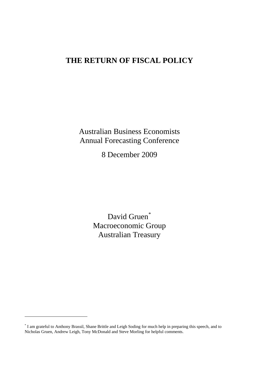# **THE RETURN OF FISCAL POLICY**

Australian Business Economists Annual Forecasting Conference

8 December 2009

David Gruen<sup>[\\*](#page-0-0)</sup> Macroeconomic Group Australian Treasury

<span id="page-0-0"></span><sup>\*</sup> I am grateful to Anthony Brassil, Shane Brittle and Leigh Soding for much help in preparing this speech, and to Nicholas Gruen, Andrew Leigh, Tony McDonald and Steve Morling for helpful comments.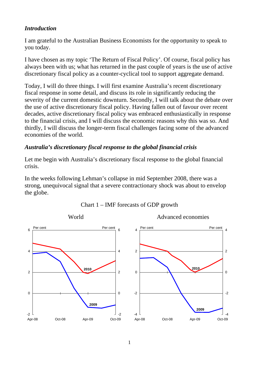## *Introduction*

I am grateful to the Australian Business Economists for the opportunity to speak to you today.

I have chosen as my topic 'The Return of Fiscal Policy'. Of course, fiscal policy has always been with us; what has returned in the past couple of years is the use of active discretionary fiscal policy as a counter-cyclical tool to support aggregate demand.

Today, I will do three things. I will first examine Australia's recent discretionary fiscal response in some detail, and discuss its role in significantly reducing the severity of the current domestic downturn. Secondly, I will talk about the debate over the use of active discretionary fiscal policy. Having fallen out of favour over recent decades, active discretionary fiscal policy was embraced enthusiastically in response to the financial crisis, and I will discuss the economic reasons why this was so. And thirdly, I will discuss the longer-term fiscal challenges facing some of the advanced economies of the world.

#### *Australia's discretionary fiscal response to the global financial crisis*

Let me begin with Australia's discretionary fiscal response to the global financial crisis.

In the weeks following Lehman's collapse in mid September 2008, there was a strong, unequivocal signal that a severe contractionary shock was about to envelop the globe.



#### Chart 1 – IMF forecasts of GDP growth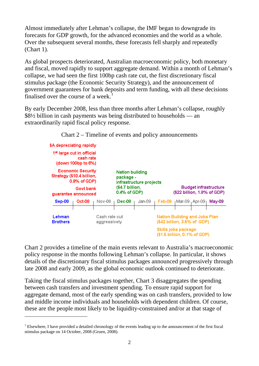Almost immediately after Lehman's collapse, the IMF began to downgrade its forecasts for GDP growth, for the advanced economies and the world as a whole. Over the subsequent several months, these forecasts fell sharply and repeatedly (Chart 1).

As global prospects deteriorated, Australian macroeconomic policy, both monetary and fiscal, moved rapidly to support aggregate demand. Within a month of Lehman's collapse, we had seen the first 100bp cash rate cut, the first discretionary fiscal stimulus package (the Economic Security Strategy), and the announcement of government guarantees for bank deposits and term funding, with all these decisions finalised over the course of a week.

By early December 2008, less than three months after Lehman's collapse, roughly \$8½ billion in cash payments was being distributed to households — an extraordinarily rapid fiscal policy response.



Chart 2 – Timeline of events and policy announcements

Chart 2 provides a timeline of the main events relevant to Australia's macroeconomic policy response in the months following Lehman's collapse. In particular, it shows details of the discretionary fiscal stimulus packages announced progressively through late 2008 and early 2009, as the global economic outlook continued to deteriorate.

Taking the fiscal stimulus packages together, Chart 3 disaggregates the spending between cash transfers and investment spending. To ensure rapid support for aggregate demand, most of the early spending was on cash transfers, provided to low and middle income individuals and households with dependent children. Of course, these are the people most likely to be liquidity-constrained and/or at that stage of

<span id="page-2-0"></span> $1$  Elsewhere, I have provided a detailed chronology of the events leading up to the announcement of the first fiscal stimulus package on 14 October, 2008 (Gruen, 2008).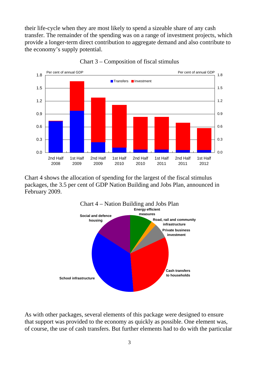their life-cycle when they are most likely to spend a sizeable share of any cash transfer. The remainder of the spending was on a range of investment projects, which provide a longer-term direct contribution to aggregate demand and also contribute to the economy's supply potential.



Chart 3 – Composition of fiscal stimulus

Chart 4 shows the allocation of spending for the largest of the fiscal stimulus packages, the 3.5 per cent of GDP Nation Building and Jobs Plan, announced in February 2009.



As with other packages, several elements of this package were designed to ensure that support was provided to the economy as quickly as possible. One element was, of course, the use of cash transfers. But further elements had to do with the particular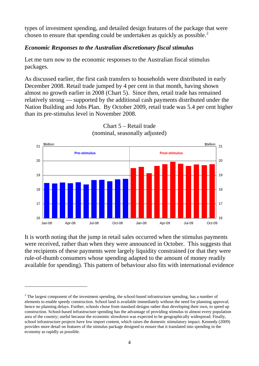types of investment spending, and detailed design features of the package that were chosen to ensure that spending could be undertaken as quickly as possible.<sup>[2](#page-4-0)</sup>

# *Economic Responses to the Australian discretionary fiscal stimulus*

Let me turn now to the economic responses to the Australian fiscal stimulus packages.

As discussed earlier, the first cash transfers to households were distributed in early December 2008. Retail trade jumped by 4 per cent in that month, having shown almost no growth earlier in 2008 (Chart 5). Since then, retail trade has remained relatively strong — supported by the additional cash payments distributed under the Nation Building and Jobs Plan. By October 2009, retail trade was 5.4 per cent higher than its pre-stimulus level in November 2008.





It is worth noting that the jump in retail sales occurred when the stimulus payments were received, rather than when they were announced in October. This suggests that the recipients of these payments were largely liquidity constrained (or that they were rule-of-thumb consumers whose spending adapted to the amount of money readily available for spending). This pattern of behaviour also fits with international evidence

<span id="page-4-0"></span> $2^2$  The largest component of the investment spending, the school-based infrastructure spending, has a number of elements to enable speedy construction. School land is available immediately without the need for planning approval; hence no planning delays. Further, schools chose from standard designs rather than developing their own, to speed up construction. School-based infrastructure spending has the advantage of providing stimulus to almost every population area of the country; useful because the economic slowdown was expected to be geographically widespread. Finally, school infrastructure projects have low import content, which raises the domestic stimulatory impact. Kennedy (2009) provides more detail on features of the stimulus package designed to ensure that it translated into spending in the economy as rapidly as possible.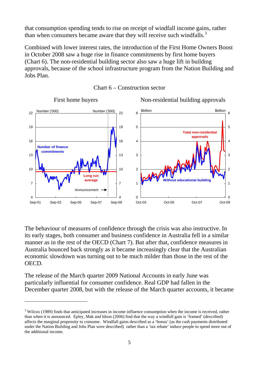that consumption spending tends to rise on receipt of windfall income gains, rather than when consumers became aware that they will receive such windfalls.<sup>[3](#page-5-0)</sup>

Combined with lower interest rates, the introduction of the First Home Owners Boost in October 2008 saw a huge rise in finance commitments by first home buyers (Chart 6). The non-residential building sector also saw a huge lift in building approvals, because of the school infrastructure program from the Nation Building and Jobs Plan.





The behaviour of measures of confidence through the crisis was also instructive. In its early stages, both consumer and business confidence in Australia fell in a similar manner as in the rest of the OECD (Chart 7). But after that, confidence measures in Australia bounced back strongly as it became increasingly clear that the Australian economic slowdown was turning out to be much milder than those in the rest of the OECD.

The release of the March quarter 2009 National Accounts in early June was particularly influential for consumer confidence. Real GDP had fallen in the December quarter 2008, but with the release of the March quarter accounts, it became

<span id="page-5-0"></span> $3$  Wilcox (1989) finds that anticipated increases in income influence consumption when the income is received, rather than when it is announced. Epley, Mak and Idson (2006) find that the way a windfall gain is 'framed' (described) affects the marginal propensity to consume. Windfall gains described as a 'bonus' (as the cash payments distributed under the Nation Building and Jobs Plan were described) rather than a 'tax rebate' induce people to spend more out of the additional income.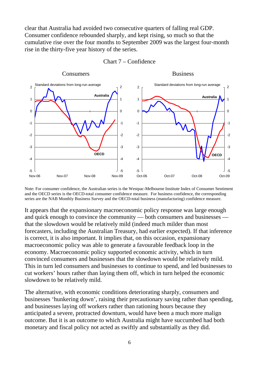clear that Australia had avoided two consecutive quarters of falling real GDP. Consumer confidence rebounded sharply, and kept rising, so much so that the cumulative rise over the four months to September 2009 was the largest four-month rise in the thirty-five year history of the series.



Chart 7 – Confidence

Note: For consumer confidence, the Australian series is the Westpac-Melbourne Institute Index of Consumer Sentiment and the OECD series is the OECD-total consumer confidence measure. For business confidence, the corresponding series are the NAB Monthly Business Survey and the OECD-total business (manufacturing) confidence measure.

It appears that the expansionary macroeconomic policy response was large enough and quick enough to convince the community — both consumers and businesses that the slowdown would be relatively mild (indeed much milder than most forecasters, including the Australian Treasury, had earlier expected). If that inference is correct, it is also important. It implies that, on this occasion, expansionary macroeconomic policy was able to generate a favourable feedback loop in the economy. Macroeconomic policy supported economic activity, which in turn convinced consumers and businesses that the slowdown would be relatively mild. This in turn led consumers and businesses to continue to spend, and led businesses to cut workers' hours rather than laying them off, which in turn helped the economic slowdown to be relatively mild.

The alternative, with economic conditions deteriorating sharply, consumers and businesses 'hunkering down', raising their precautionary saving rather than spending, and businesses laying off workers rather than rationing hours because they anticipated a severe, protracted downturn, would have been a much more malign outcome. But it is an outcome to which Australia might have succumbed had both monetary and fiscal policy not acted as swiftly and substantially as they did.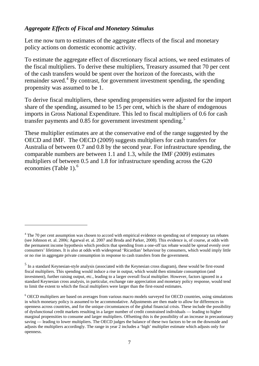### *Aggregate Effects of Fiscal and Monetary Stimulus*

 $\overline{a}$ 

Let me now turn to estimates of the aggregate effects of the fiscal and monetary policy actions on domestic economic activity.

To estimate the aggregate effect of discretionary fiscal actions, we need estimates of the fiscal multipliers. To derive these multipliers, Treasury assumed that 70 per cent of the cash transfers would be spent over the horizon of the forecasts, with the remainder saved.<sup>[4](#page-7-0)</sup> By contrast, for government investment spending, the spending propensity was assumed to be 1.

To derive fiscal multipliers, these spending propensities were adjusted for the import share of the spending, assumed to be 15 per cent, which is the share of endogenous imports in Gross National Expenditure. This led to fiscal multipliers of 0.6 for cash transfer payments and 0.8[5](#page-7-1) for government investment spending.<sup>5</sup>

These multiplier estimates are at the conservative end of the range suggested by the OECD and IMF. The OECD (2009) suggests multipliers for cash transfers for Australia of between 0.7 and 0.8 by the second year. For infrastructure spending, the comparable numbers are between 1.1 and 1.3, while the IMF (2009) estimates multipliers of between 0.5 and 1.8 for infrastructure spending across the G20 economies (Table 1). $<sup>6</sup>$  $<sup>6</sup>$  $<sup>6</sup>$ </sup>

<span id="page-7-0"></span> $4$  The 70 per cent assumption was chosen to accord with empirical evidence on spending out of temporary tax rebates (see Johnson et. al. 2006; Agarwal et. al. 2007 and Broda and Parker, 2008). This evidence is, of course, at odds with the permanent income hypothesis which predicts that spending from a one-off tax rebate would be spread evenly over consumers' lifetimes. It is also at odds with widespread 'Ricardian' behaviour by consumers, which would imply little or no rise in aggregate private consumption in response to cash transfers from the government.

<span id="page-7-1"></span><sup>5</sup> In a standard Keynesian-style analysis (associated with the Keynesian cross diagram), these would be first-round fiscal multipliers. This spending would induce a rise in output, which would then stimulate consumption (and investment), further raising output, etc., leading to a larger overall fiscal multiplier. However, factors ignored in a standard Keynesian cross analysis, in particular, exchange rate appreciation and monetary policy response, would tend to limit the extent to which the fiscal multipliers were larger than the first-round estimates.

<span id="page-7-2"></span><sup>&</sup>lt;sup>6</sup> OECD multipliers are based on averages from various macro models surveyed for OECD countries, using simulations in which monetary policy is assumed to be accommodative. Adjustments are then made to allow for differences in openness across countries, and for the unique circumstances of the global financial crisis. These include the possibility of dysfunctional credit markets resulting in a larger number of credit constrained individuals — leading to higher marginal propensities to consume and larger multipliers. Offsetting this is the possibility of an increase in precautionary saving — leading to lower multipliers. The OECD judges the balance of these two factors to be on the downside and adjusts the multipliers accordingly. The range in year 2 includes a 'high' multiplier estimate which adjusts only for openness.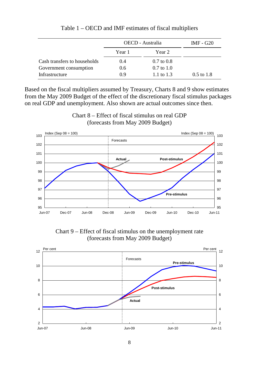|                              | OECD - Australia |                       | IMF - G20    |
|------------------------------|------------------|-----------------------|--------------|
|                              | Year 1           | Year 2                |              |
| Cash transfers to households | 0.4              | $0.7 \text{ to } 0.8$ |              |
| Government consumption       | 0.6              | $0.7 \text{ to } 1.0$ |              |
| Infrastructure               | 0.9              | 1.1 to 1.3            | $0.5$ to 1.8 |

Table 1 – OECD and IMF estimates of fiscal multipliers

Based on the fiscal multipliers assumed by Treasury, Charts 8 and 9 show estimates from the May 2009 Budget of the effect of the discretionary fiscal stimulus packages on real GDP and unemployment. Also shown are actual outcomes since then.



Chart 8 – Effect of fiscal stimulus on real GDP (forecasts from May 2009 Budget)

Chart 9 – Effect of fiscal stimulus on the unemployment rate (forecasts from May 2009 Budget)

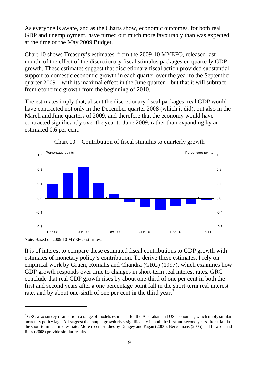As everyone is aware, and as the Charts show, economic outcomes, for both real GDP and unemployment, have turned out much more favourably than was expected at the time of the May 2009 Budget.

Chart 10 shows Treasury's estimates, from the 2009-10 MYEFO, released last month, of the effect of the discretionary fiscal stimulus packages on quarterly GDP growth. These estimates suggest that discretionary fiscal action provided substantial support to domestic economic growth in each quarter over the year to the September quarter 2009 – with its maximal effect in the June quarter – but that it will subtract from economic growth from the beginning of 2010.

The estimates imply that, absent the discretionary fiscal packages, real GDP would have contracted not only in the December quarter 2008 (which it did), but also in the March and June quarters of 2009, and therefore that the economy would have contracted significantly over the year to June 2009, rather than expanding by an estimated 0.6 per cent.





 $\overline{a}$ 

It is of interest to compare these estimated fiscal contributions to GDP growth with estimates of monetary policy's contribution. To derive these estimates, I rely on empirical work by Gruen, Romalis and Chandra (GRC) (1997), which examines how GDP growth responds over time to changes in short-term real interest rates. GRC conclude that real GDP growth rises by about one-third of one per cent in both the first and second years after a one percentage point fall in the short-term real interest rate, and by about one-sixth of one per cent in the third year.<sup>[7](#page-9-0)</sup>

Note: Based on 2009-10 MYEFO estimates.

<span id="page-9-0"></span> $7$  GRC also survey results from a range of models estimated for the Australian and US economies, which imply similar monetary policy lags. All suggest that output growth rises significantly in both the first and second years after a fall in the short-term real interest rate. More recent studies by Dungey and Pagan (2000), Berkelmans (2005) and Lawson and Rees (2008) provide similar results.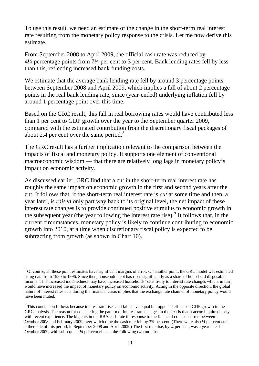To use this result, we need an estimate of the change in the short-term real interest rate resulting from the monetary policy response to the crisis. Let me now derive this estimate.

From September 2008 to April 2009, the official cash rate was reduced by 4¼ percentage points from 7¼ per cent to 3 per cent. Bank lending rates fell by less than this, reflecting increased bank funding costs.

We estimate that the average bank lending rate fell by around 3 percentage points between September 2008 and April 2009, which implies a fall of about 2 percentage points in the real bank lending rate, since (year-ended) underlying inflation fell by around 1 percentage point over this time.

Based on the GRC result, this fall in real borrowing rates would have contributed less than 1 per cent to GDP growth over the year to the September quarter 2009, compared with the estimated contribution from the discretionary fiscal packages of about 2.4 per cent over the same period.<sup>[8](#page-10-0)</sup>

The GRC result has a further implication relevant to the comparison between the impacts of fiscal and monetary policy. It supports one element of conventional macroeconomic wisdom — that there are relatively long lags in monetary policy's impact on economic activity.

As discussed earlier, GRC find that a cut in the short-term real interest rate has roughly the same impact on economic growth in the first and second years after the cut. It follows that, if the short-term real interest rate is *cut* at some time and then, a year later, is *raised* only part way back to its original level, the net impact of these interest rate changes is to provide continued positive stimulus to economic growth in the subsequent year (the year following the interest rate rise).<sup>[9](#page-10-1)</sup> It follows that, in the current circumstances, monetary policy is likely to continue contributing to economic growth into 2010, at a time when discretionary fiscal policy is expected to be subtracting from growth (as shown in Chart 10).

<span id="page-10-0"></span> $8$  Of course, all these point estimates have significant margins of error. On another point, the GRC model was estimated using data from 1980 to 1996. Since then, household debt has risen significantly as a share of household disposable income. This increased indebtedness may have increased households' sensitivity to interest rate changes which, in turn, would have increased the impact of monetary policy on economic activity. Acting in the opposite direction, the global nature of interest rates cuts during the financial crisis implies that the exchange rate channel of monetary policy would have been muted.

<span id="page-10-1"></span><sup>&</sup>lt;sup>9</sup> This conclusion follows because interest rate rises and falls have equal but opposite effects on GDP growth in the GRC analysis. The reason for considering the pattern of interest rate changes in the text is that it accords quite closely with recent experience. The big cuts in the RBA cash rate in response to the financial crisis occurred between October 2008 and February 2009, over which time the cash rate fell by 3<sup>3</sup>/4 per cent. (There were also <sup>1</sup>/4 per cent cuts either side of this period, in September 2008 and April 2009.) The first rate rise, by ¼ per cent, was a year later in October 2009, with subsequent ¼ per cent rises in the following two months.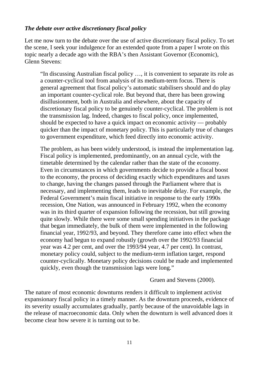#### *The debate over active discretionary fiscal policy*

Let me now turn to the debate over the use of active discretionary fiscal policy. To set the scene, I seek your indulgence for an extended quote from a paper I wrote on this topic nearly a decade ago with the RBA's then Assistant Governor (Economic), Glenn Stevens:

"In discussing Australian fiscal policy …, it is convenient to separate its role as a counter-cyclical tool from analysis of its medium-term focus. There is general agreement that fiscal policy's automatic stabilisers should and do play an important counter-cyclical role. But beyond that, there has been growing disillusionment, both in Australia and elsewhere, about the capacity of discretionary fiscal policy to be genuinely counter-cyclical. The problem is not the transmission lag. Indeed, changes to fiscal policy, once implemented, should be expected to have a quick impact on economic activity — probably quicker than the impact of monetary policy. This is particularly true of changes to government expenditure, which feed directly into economic activity.

The problem, as has been widely understood, is instead the implementation lag. Fiscal policy is implemented, predominantly, on an annual cycle, with the timetable determined by the calendar rather than the state of the economy. Even in circumstances in which governments decide to provide a fiscal boost to the economy, the process of deciding exactly which expenditures and taxes to change, having the changes passed through the Parliament where that is necessary, and implementing them, leads to inevitable delay. For example, the Federal Government's main fiscal initiative in response to the early 1990s recession, One Nation, was announced in February 1992, when the economy was in its third quarter of expansion following the recession, but still growing quite slowly. While there were some small spending initiatives in the package that began immediately, the bulk of them were implemented in the following financial year, 1992/93, and beyond. They therefore came into effect when the economy had begun to expand robustly (growth over the 1992/93 financial year was 4.2 per cent, and over the 1993/94 year, 4.7 per cent). In contrast, monetary policy could, subject to the medium-term inflation target, respond counter-cyclically. Monetary policy decisions could be made and implemented quickly, even though the transmission lags were long."

Gruen and Stevens (2000).

The nature of most economic downturns renders it difficult to implement activist expansionary fiscal policy in a timely manner. As the downturn proceeds, evidence of its severity usually accumulates gradually, partly because of the unavoidable lags in the release of macroeconomic data. Only when the downturn is well advanced does it become clear how severe it is turning out to be.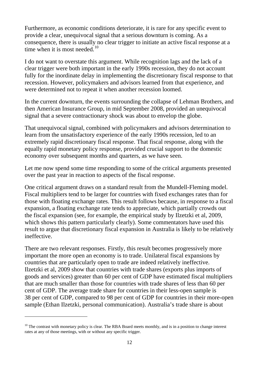Furthermore, as economic conditions deteriorate, it is rare for any specific event to provide a clear, unequivocal signal that a serious downturn is coming. As a consequence, there is usually no clear trigger to initiate an active fiscal response at a time when it is most needed. $10$ 

I do not want to overstate this argument. While recognition lags and the lack of a clear trigger were both important in the early 1990s recession, they do not account fully for the inordinate delay in implementing the discretionary fiscal response to that recession. However, policymakers and advisors learned from that experience, and were determined not to repeat it when another recession loomed.

In the current downturn, the events surrounding the collapse of Lehman Brothers, and then American Insurance Group, in mid September 2008, provided an unequivocal signal that a severe contractionary shock was about to envelop the globe.

That unequivocal signal, combined with policymakers and advisors determination to learn from the unsatisfactory experience of the early 1990s recession, led to an extremely rapid discretionary fiscal response. That fiscal response, along with the equally rapid monetary policy response, provided crucial support to the domestic economy over subsequent months and quarters, as we have seen.

Let me now spend some time responding to some of the critical arguments presented over the past year in reaction to aspects of the fiscal response.

One critical argument draws on a standard result from the Mundell-Fleming model. Fiscal multipliers tend to be larger for countries with fixed exchanges rates than for those with floating exchange rates. This result follows because, in response to a fiscal expansion, a floating exchange rate tends to appreciate, which partially crowds out the fiscal expansion (see, for example, the empirical study by Ilzetzki et al, 2009, which shows this pattern particularly clearly). Some commentators have used this result to argue that discretionary fiscal expansion in Australia is likely to be relatively ineffective.

There are two relevant responses. Firstly, this result becomes progressively more important the more open an economy is to trade. Unilateral fiscal expansions by countries that are particularly open to trade are indeed relatively ineffective. Ilzetzki et al, 2009 show that countries with trade shares (exports plus imports of goods and services) greater than 60 per cent of GDP have estimated fiscal multipliers that are much smaller than those for countries with trade shares of less than 60 per cent of GDP. The average trade share for countries in their less-open sample is 38 per cent of GDP, compared to 98 per cent of GDP for countries in their more-open sample (Ethan Ilzetzki, personal communication). Australia's trade share is about

<span id="page-12-0"></span> $10$  The contrast with monetary policy is clear. The RBA Board meets monthly, and is in a position to change interest rates at any of those meetings, with or without any specific trigger.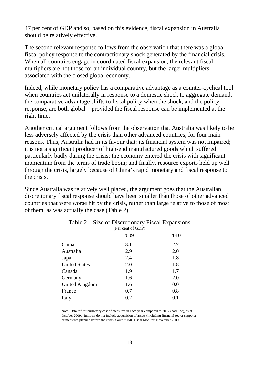47 per cent of GDP and so, based on this evidence, fiscal expansion in Australia should be relatively effective.

The second relevant response follows from the observation that there was a global fiscal policy response to the contractionary shock generated by the financial crisis. When all countries engage in coordinated fiscal expansion, the relevant fiscal multipliers are not those for an individual country, but the larger multipliers associated with the closed global economy.

Indeed, while monetary policy has a comparative advantage as a counter-cyclical tool when countries act unilaterally in response to a domestic shock to aggregate demand, the comparative advantage shifts to fiscal policy when the shock, and the policy response, are both global – provided the fiscal response can be implemented at the right time.

Another critical argument follows from the observation that Australia was likely to be less adversely affected by the crisis than other advanced countries, for four main reasons. Thus, Australia had in its favour that: its financial system was not impaired; it is not a significant producer of high-end manufactured goods which suffered particularly badly during the crisis; the economy entered the crisis with significant momentum from the terms of trade boom; and finally, resource exports held up well through the crisis, largely because of China's rapid monetary and fiscal response to the crisis.

Since Australia was relatively well placed, the argument goes that the Australian discretionary fiscal response should have been smaller than those of other advanced countries that were worse hit by the crisis, rather than large relative to those of most of them, as was actually the case (Table 2).

|                       | $(1 \cup \text{unit of } \cup \text{b})$ |      |
|-----------------------|------------------------------------------|------|
|                       | 2009                                     | 2010 |
| China                 | 3.1                                      | 2.7  |
| Australia             | 2.9                                      | 2.0  |
| Japan                 | 2.4                                      | 1.8  |
| <b>United States</b>  | 2.0                                      | 1.8  |
| Canada                | 1.9                                      | 1.7  |
| Germany               | 1.6                                      | 2.0  |
| <b>United Kingdom</b> | 1.6                                      | 0.0  |
| France                | 0.7                                      | 0.8  |
| Italy                 | 0.2                                      | 0.1  |
|                       |                                          |      |

| Table 2 – Size of Discretionary Fiscal Expansions |  |
|---------------------------------------------------|--|
| (Per cent of GDP)                                 |  |

Note: Data reflect budgetary cost of measures in each year compared to 2007 (baseline), as at October 2009. Numbers do not include acquisition of assets (including financial sector support) or measures planned before the crisis. Source: IMF Fiscal Monitor, November 2009.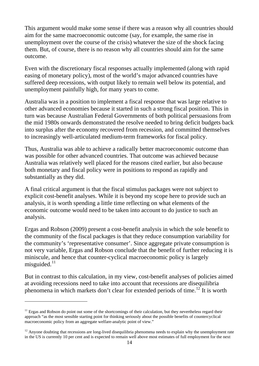This argument would make some sense if there was a reason why all countries should aim for the same macroeconomic outcome (say, for example, the same rise in unemployment over the course of the crisis) whatever the size of the shock facing them. But, of course, there is no reason why all countries should aim for the same outcome.

Even with the discretionary fiscal responses actually implemented (along with rapid easing of monetary policy), most of the world's major advanced countries have suffered deep recessions, with output likely to remain well below its potential, and unemployment painfully high, for many years to come.

Australia was in a position to implement a fiscal response that was large relative to other advanced economies because it started in such a strong fiscal position. This in turn was because Australian Federal Governments of both political persuasions from the mid 1980s onwards demonstrated the resolve needed to bring deficit budgets back into surplus after the economy recovered from recession, and committed themselves to increasingly well-articulated medium-term frameworks for fiscal policy.

Thus, Australia was able to achieve a radically better macroeconomic outcome than was possible for other advanced countries. That outcome was achieved because Australia was relatively well placed for the reasons cited earlier, but also because both monetary and fiscal policy were in positions to respond as rapidly and substantially as they did.

A final critical argument is that the fiscal stimulus packages were not subject to explicit cost-benefit analyses. While it is beyond my scope here to provide such an analysis, it is worth spending a little time reflecting on what elements of the economic outcome would need to be taken into account to do justice to such an analysis.

Ergas and Robson (2009) present a cost-benefit analysis in which the sole benefit to the community of the fiscal packages is that they reduce consumption variability for the community's 'representative consumer'. Since aggregate private consumption is not very variable, Ergas and Robson conclude that the benefit of further reducing it is miniscule, and hence that counter-cyclical macroeconomic policy is largely misguided. $11$ 

But in contrast to this calculation, in my view, cost-benefit analyses of policies aimed at avoiding recessions need to take into account that recessions are disequilibria phenomena in which markets don't clear for extended periods of time.<sup>[12](#page-14-1)</sup> It is worth

<span id="page-14-0"></span> $11$  Ergas and Robson do point out some of the shortcomings of their calculation, but they nevertheless regard their approach "as the most sensible starting point for thinking seriously about the possible benefits of countercyclical macroeconomic policy from an aggregate welfare-analytic point of view."

<span id="page-14-1"></span> $12$  Anyone doubting that recessions are long-lived disequilibria phenomena needs to explain why the unemployment rate in the US is currently 10 per cent and is expected to remain well above most estimates of full employment for the next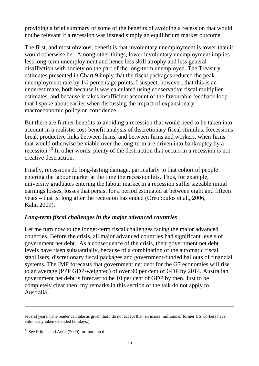providing a brief summary of some of the benefits of avoiding a recession that would not be relevant if a recession was instead simply an equilibrium market outcome.

The first, and most obvious, benefit is that involuntary unemployment is lower than it would otherwise be. Among other things, lower involuntary unemployment implies less long-term unemployment and hence less skill atrophy and less general disaffection with society on the part of the long-term unemployed. The Treasury estimates presented in Chart 9 imply that the fiscal packages reduced the peak unemployment rate by  $1\frac{1}{2}$  percentage points. I suspect, however, that this is an underestimate, both because it was calculated using conservative fiscal multiplier estimates, and because it takes insufficient account of the favourable feedback loop that I spoke about earlier when discussing the impact of expansionary macroeconomic policy on confidence.

But there are further benefits to avoiding a recession that would need to be taken into account in a realistic cost-benefit analysis of discretionary fiscal stimulus. Recessions break productive links between firms, and between firms and workers, when firms that would otherwise be viable over the long-term are driven into bankruptcy by a recession.<sup>[13](#page-15-0)</sup> In other words, plenty of the destruction that occurs in a recession is not creative destruction.

Finally, recessions do long-lasting damage, particularly to that cohort of people entering the labour market at the time the recession hits. Thus, for example, university graduates entering the labour market in a recession suffer sizeable initial earnings losses, losses that persist for a period estimated at between eight and fifteen years – that is, long after the recession has ended (Oreopoulos et al., 2006, Kahn 2009).

#### *Long-term fiscal challenges in the major advanced countries*

Let me turn now to the longer-term fiscal challenges facing the major advanced countries. Before the crisis, all major advanced countries had significant levels of government net debt. As a consequence of the crisis, their government net debt levels have risen substantially, because of a combination of the automatic fiscal stabilisers, discretionary fiscal packages and government-funded bailouts of financial systems. The IMF forecasts that government net debt for the G7 economies will rise to an average (PPP GDP-weighted) of over 90 per cent of GDP by 2014. Australian government net debt is forecast to be 10 per cent of GDP by then. Just to be completely clear then: my remarks in this section of the talk do not apply to Australia.

several years. (The reader can take as given that I do not accept that, en masse, millions of former US workers have voluntarily taken extended holidays.)

<span id="page-15-0"></span><sup>&</sup>lt;sup>13</sup> See Fritjers and Antic (2009) for more on this.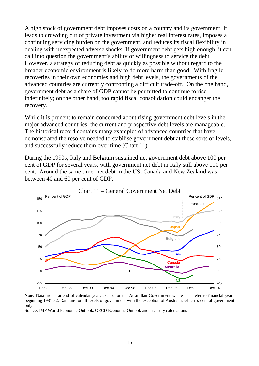A high stock of government debt imposes costs on a country and its government. It leads to crowding out of private investment via higher real interest rates, imposes a continuing servicing burden on the government, and reduces its fiscal flexibility in dealing with unexpected adverse shocks. If government debt gets high enough, it can call into question the government's ability or willingness to service the debt. However, a strategy of reducing debt as quickly as possible without regard to the broader economic environment is likely to do more harm than good. With fragile recoveries in their own economies and high debt levels, the governments of the advanced countries are currently confronting a difficult trade-off. On the one hand, government debt as a share of GDP cannot be permitted to continue to rise indefinitely; on the other hand, too rapid fiscal consolidation could endanger the recovery.

While it is prudent to remain concerned about rising government debt levels in the major advanced countries, the current and prospective debt levels are manageable. The historical record contains many examples of advanced countries that have demonstrated the resolve needed to stabilise government debt at these sorts of levels, and successfully reduce them over time (Chart 11).

During the 1990s, Italy and Belgium sustained net government debt above 100 per cent of GDP for several years, with government net debt in Italy still above 100 per cent. Around the same time, net debt in the US, Canada and New Zealand was between 40 and 60 per cent of GDP.



Note: Data are as at end of calendar year, except for the Australian Government where data refer to financial years beginning 1981-82. Data are for all levels of government with the exception of Australia, which is central government only.

Source: IMF World Economic Outlook, OECD Economic Outlook and Treasury calculations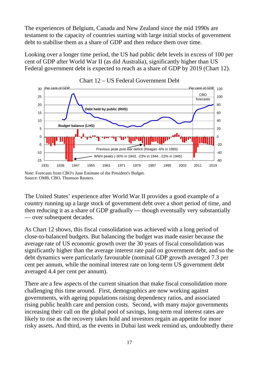The experiences of Belgium, Canada and New Zealand since the mid 1990s are testament to the capacity of countries starting with large initial stocks of government debt to stabilise them as a share of GDP and then reduce them over time.

Looking over a longer time period, the US had public debt levels in excess of 100 per cent of GDP after World War II (as did Australia), significantly higher than US Federal government debt is expected to reach as a share of GDP by 2019 (Chart 12).





The United States' experience after World War II provides a good example of a country running up a large stock of government debt over a short period of time, and then reducing it as a share of GDP gradually — though eventually very substantially — over subsequent decades.

As Chart 12 shows, this fiscal consolidation was achieved with a long period of close-to-balanced budgets. But balancing the budget was made easier because the average rate of US economic growth over the 30 years of fiscal consolidation was significantly higher than the average interest rate paid on government debt, and so the debt dynamics were particularly favourable (nominal GDP growth averaged 7.3 per cent per annum, while the nominal interest rate on long-term US government debt averaged 4.4 per cent per annum).

There are a few aspects of the current situation that make fiscal consolidation more challenging this time around. First, demographics are now working against governments, with ageing populations raising dependency ratios, and associated rising public health care and pension costs. Second, with many major governments increasing their call on the global pool of savings, long-term real interest rates are likely to rise as the recovery takes hold and investors regain an appetite for more risky assets. And third, as the events in Dubai last week remind us, undoubtedly there

Note: Forecasts from CBO's June Estimate of the President's Budget. Source: OMB, CBO, Thomson Reuters.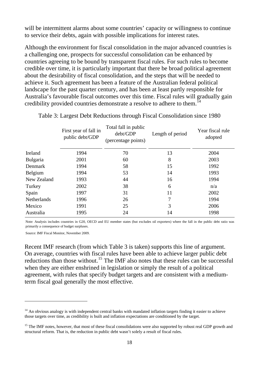will be intermittent alarms about some countries' capacity or willingness to continue to service their debts, again with possible implications for interest rates.

Although the environment for fiscal consolidation in the major advanced countries is a challenging one, prospects for successful consolidation can be enhanced by countries agreeing to be bound by transparent fiscal rules. For such rules to become credible over time, it is particularly important that there be broad political agreement about the desirability of fiscal consolidation, and the steps that will be needed to achieve it. Such agreement has been a feature of the Australian federal political landscape for the past quarter century, and has been at least partly responsible for Australia's favourable fiscal outcomes over this time. Fiscal rules will gradually gain credibility provided countries demonstrate a resolve to adhere to them.<sup>[14](#page-18-0)</sup>

|                | First year of fall in<br>public debt/GDP | Total fall in public<br>debt/GDP<br>(percentage points) | Length of period | Year fiscal rule<br>adopted |
|----------------|------------------------------------------|---------------------------------------------------------|------------------|-----------------------------|
| Ireland        | 1994                                     | 70                                                      | 13               | 2004                        |
| Bulgaria       | 2001                                     | 60                                                      | 8                | 2003                        |
| <b>Denmark</b> | 1994                                     | 58                                                      | 15               | 1992                        |
| Belgium        | 1994                                     | 53                                                      | 14               | 1993                        |
| New Zealand    | 1993                                     | 44                                                      | 16               | 1994                        |
| Turkey         | 2002                                     | 38                                                      | 6                | n/a                         |
| Spain          | 1997                                     | 31                                                      | 11               | 2002                        |
| Netherlands    | 1996                                     | 26                                                      | 7                | 1994                        |
| Mexico         | 1991                                     | 25                                                      | 3                | 2006                        |
| Australia      | 1995                                     | 24                                                      | 14               | 1998                        |
|                |                                          |                                                         |                  |                             |

Table 3: Largest Debt Reductions through Fiscal Consolidation since 1980

Note: Analysis includes countries in G20, OECD and EU member states (but excludes oil exporters) where the fall in the public debt ratio was primarily a consequence of budget surpluses.

Source: IMF Fiscal Monitor, November 2009.

 $\overline{a}$ 

Recent IMF research (from which Table 3 is taken) supports this line of argument. On average, countries with fiscal rules have been able to achieve larger public debt reductions than those without.<sup>[15](#page-18-1)</sup> The IMF also notes that these rules can be successful when they are either enshrined in legislation or simply the result of a political agreement, with rules that specify budget targets and are consistent with a mediumterm fiscal goal generally the most effective.

<span id="page-18-0"></span> $14$  An obvious analogy is with independent central banks with mandated inflation targets finding it easier to achieve those targets over time, as credibility is built and inflation expectations are conditioned by the target.

<span id="page-18-1"></span><sup>&</sup>lt;sup>15</sup> The IMF notes, however, that most of these fiscal consolidations were also supported by robust real GDP growth and structural reform. That is, the reduction in public debt wasn't solely a result of fiscal rules.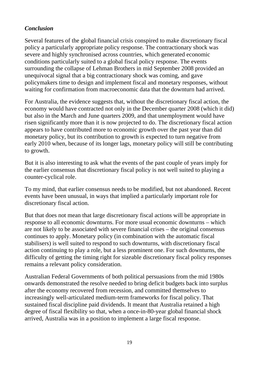## *Conclusion*

Several features of the global financial crisis conspired to make discretionary fiscal policy a particularly appropriate policy response. The contractionary shock was severe and highly synchronised across countries, which generated economic conditions particularly suited to a global fiscal policy response. The events surrounding the collapse of Lehman Brothers in mid September 2008 provided an unequivocal signal that a big contractionary shock was coming, and gave policymakers time to design and implement fiscal and monetary responses, without waiting for confirmation from macroeconomic data that the downturn had arrived.

For Australia, the evidence suggests that, without the discretionary fiscal action, the economy would have contracted not only in the December quarter 2008 (which it did) but also in the March and June quarters 2009, and that unemployment would have risen significantly more than it is now projected to do. The discretionary fiscal action appears to have contributed more to economic growth over the past year than did monetary policy, but its contribution to growth is expected to turn negative from early 2010 when, because of its longer lags, monetary policy will still be contributing to growth.

But it is also interesting to ask what the events of the past couple of years imply for the earlier consensus that discretionary fiscal policy is not well suited to playing a counter-cyclical role.

To my mind, that earlier consensus needs to be modified, but not abandoned. Recent events have been unusual, in ways that implied a particularly important role for discretionary fiscal action.

But that does not mean that large discretionary fiscal actions will be appropriate in response to all economic downturns. For more usual economic downturns – which are not likely to be associated with severe financial crises – the original consensus continues to apply. Monetary policy (in combination with the automatic fiscal stabilisers) is well suited to respond to such downturns, with discretionary fiscal action continuing to play a role, but a less prominent one. For such downturns, the difficulty of getting the timing right for sizeable discretionary fiscal policy responses remains a relevant policy consideration.

Australian Federal Governments of both political persuasions from the mid 1980s onwards demonstrated the resolve needed to bring deficit budgets back into surplus after the economy recovered from recession, and committed themselves to increasingly well-articulated medium-term frameworks for fiscal policy. That sustained fiscal discipline paid dividends. It meant that Australia retained a high degree of fiscal flexibility so that, when a once-in-80-year global financial shock arrived, Australia was in a position to implement a large fiscal response.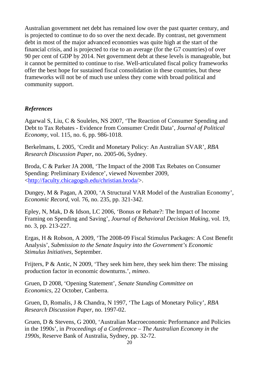Australian government net debt has remained low over the past quarter century, and is projected to continue to do so over the next decade. By contrast, net government debt in most of the major advanced economies was quite high at the start of the financial crisis, and is projected to rise to an average (for the G7 countries) of over 90 per cent of GDP by 2014. Net government debt at these levels is manageable, but it cannot be permitted to continue to rise. Well-articulated fiscal policy frameworks offer the best hope for sustained fiscal consolidation in these countries, but these frameworks will not be of much use unless they come with broad political and community support.

## *References*

Agarwal S, Liu, C & Souleles, NS 2007, 'The Reaction of Consumer Spending and Debt to Tax Rebates - Evidence from Consumer Credit Data', *Journal of Political Economy*, vol. 115, no. 6, pp. 986-1018.

Berkelmans, L 2005, 'Credit and Monetary Policy: An Australian SVAR', *RBA Research Discussion Paper*, no. 2005-06, Sydney.

Broda, C & Parker JA 2008, 'The Impact of the 2008 Tax Rebates on Consumer Spending: Preliminary Evidence', viewed November 2009, <<http://faculty.chicagogsb.edu/christian.broda/>>.

Dungey, M & Pagan, A 2000, 'A Structural VAR Model of the Australian Economy', *Economic Record*, vol. 76, no. 235, pp. 321-342.

Epley, N, Mak, D & Idson, LC 2006, 'Bonus or Rebate?: The Impact of Income Framing on Spending and Saving', *Journal of Behavioral Decision Making*, vol. 19, no. 3, pp. 213-227.

Ergas, H & Robson, A 2009, 'The 2008-09 Fiscal Stimulus Packages: A Cost Benefit Analysis', *Submission to the Senate Inquiry into the Government's Economic Stimulus Initiatives*, September.

Frijters, P & Antic, N 2009, 'They seek him here, they seek him there: The missing production factor in economic downturns.', *mimeo*.

Gruen, D 2008, 'Opening Statement', *Senate Standing Committee on Economics*, 22 October, Canberra.

Gruen, D, Romalis, J & Chandra, N 1997, 'The Lags of Monetary Policy', *RBA Research Discussion Paper,* no. 1997-02.

Gruen, D & Stevens, G 2000, 'Australian Macroeconomic Performance and Policies in the 1990s', in *Proceedings of a Conference – The Australian Economy in the 1990s,* Reserve Bank of Australia, Sydney, pp. 32-72.